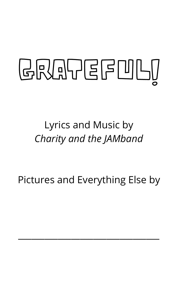# GRATEFULI

Lyrics and Music by *Charity and the JAMband*

#### Pictures and Everything Else by

 $\mathcal{L}_\text{max}$  and  $\mathcal{L}_\text{max}$  and  $\mathcal{L}_\text{max}$  and  $\mathcal{L}_\text{max}$  and  $\mathcal{L}_\text{max}$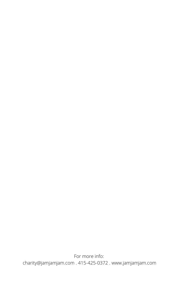For more info: charity@jamjamjam.com . 415-425-0372 . www.jamjamjam.com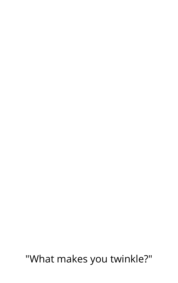"What makes you twinkle?"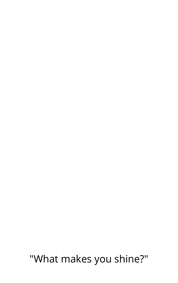### "What makes you shine?"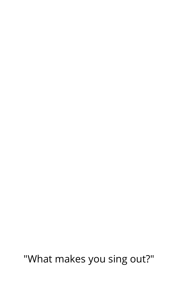"What makes you sing out?"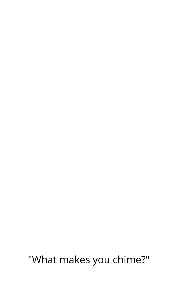"What makes you chime?"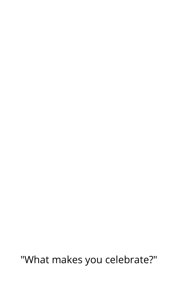## "What makes you celebrate?"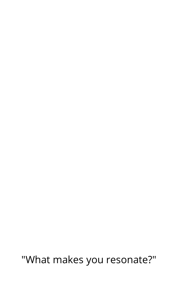### "What makes you resonate?"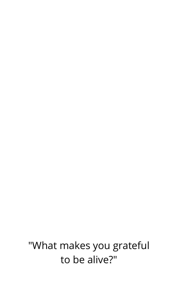"What makes you grateful to be alive?"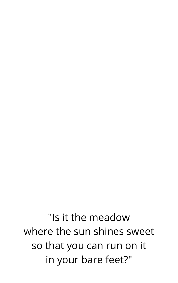"Is it the meadow where the sun shines sweet so that you can run on it in your bare feet?"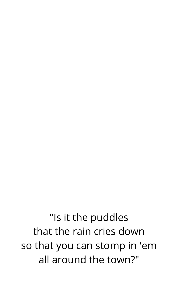"Is it the puddles that the rain cries down so that you can stomp in 'em all around the town?"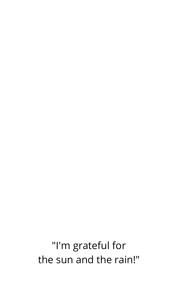"I'm grateful for the sun and the rain!"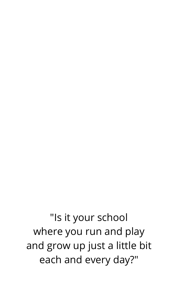"Is it your school where you run and play and grow up just a little bit each and every day?"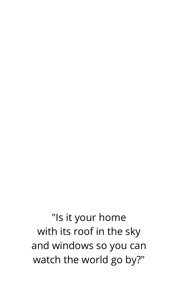"Is it your home with its roof in the sky and windows so you can watch the world go by?"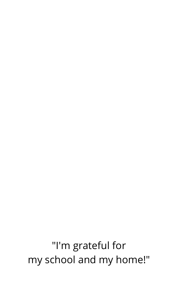"I'm grateful for my school and my home!"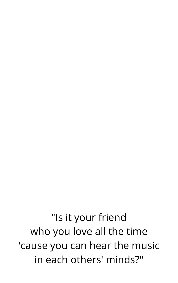"Is it your friend who you love all the time 'cause you can hear the music in each others' minds?"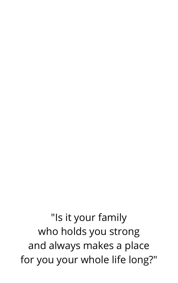"Is it your family who holds you strong and always makes a place for you your whole life long?"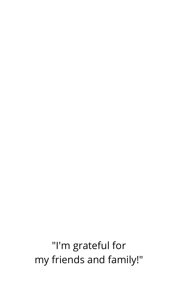"I'm grateful for my friends and family!"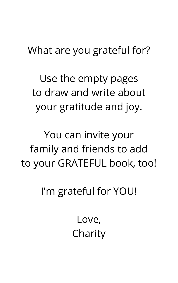What are you grateful for?

Use the empty pages to draw and write about your gratitude and joy.

You can invite your family and friends to add

# to your GRATEFUL book, too!

#### I'm grateful for YOU!

Love, Charity